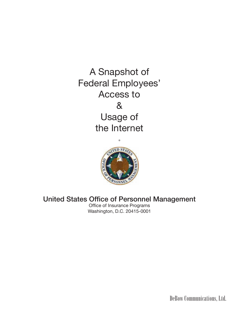A Snapshot of Federal Employees' Access to & Usage of the Internet



# United States Office of Personnel Management

Office of Insurance Programs Washington, D.C. 20415-0001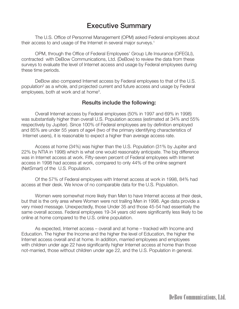# Executive Summary

 The U.S. Office of Personnel Management (OPM) asked Federal employees about their access to and usage of the Internet in several major surveys.<sup>1</sup>

 OPM, through the Office of Federal Employees' Group Life Insurance (OFEGLI), contracted with DeBow Communications, Ltd. (DeBow) to review the data from these surveys to evaluate the level of Internet access and usage by Federal employees during these time periods.

 DeBow also compared Internet access by Federal employees to that of the U.S. population2 as a whole, and projected current and future access and usage by Federal employees, both at work and at home<sup>3</sup>.

#### Results include the following:

 Overall Internet access by Federal employees (50% in 1997 and 69% in 1998) was substantially higher than overall U.S. Population access (estimated at 34% and 55% respectively by Jupiter). Since 100% of Federal employees are by definition employed and 85% are under 55 years of age4 (two of the primary identifying characteristics of Internet users), it is reasonable to expect a higher than average access rate.

 Access at home (34%) was higher than the U.S. Population (31% by Jupiter and 22% by NTIA in 1998) which is what one would reasonably anticipate. The big difference was in Internet access at work. Fifty-seven percent of Federal employees with Internet access in 1998 had access at work, compared to only 44% of the online segment (NetSmart) of the U.S. Population.

 Of the 57% of Federal employees with Internet access at work in 1998, 84% had access at their desk. We know of no comparable data for the U.S. Population.

 Women were somewhat more likely than Men to have Internet access at their desk, but that is the only area where Women were not trailing Men in 1998. Age data provide a very mixed message. Unexpectedly, those Under 35 and those 45-54 had essentially the same overall access. Federal employees 19-34 years old were significantly less likely to be online at home compared to the U.S. online population.

 As expected, Internet access – overall and at home – tracked with Income and Education. The higher the Income and the higher the level of Education, the higher the Internet access overall and at home. In addition, married employees and employees with children under age 22 have significantly higher Internet access at home than those not-married, those without children under age 22, and the U.S. Population in general.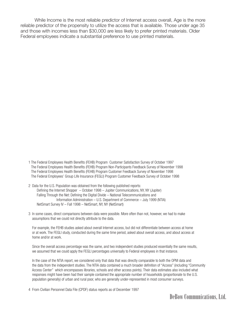While Income is the most reliable predictor of Internet access overall, Age is the more reliable predictor of the propensity to utilize the access that is available. Those under age 35 and those with incomes less than \$30,000 are less likely to prefer printed materials. Older Federal employees indicate a substantial preference to use printed materials.

- 1 The Federal Employees Health Benefits (FEHB) Program Customer Satisfaction Survey of October 1997 The Federal Employees Health Benefits (FEHB) Program Non-Participants Feedback Survey of November 1998 The Federal Employees Health Benefits (FEHB) Program Customer Feedback Survey of November 1998 The Federal Employees' Group Life Insurance (FEGLI) Program Customer Feedback Survey of October 1998
- 2 Data for the U.S. Population was obtained from the following published reports: Defining the Internet Shopper – October 1998 – Jupiter Communications, NY, NY (Jupiter) Falling Through the Net: Defining the Digital Divide – National Telecommunications and Information Administration – U.S. Department of Commerce – July 1999 (NTIA) NetSmart Survey IV – Fall 1998 – NetSmart, NY, NY (NetSmart)
- 3 In some cases, direct comparisons between data were possible. More often than not, however, we had to make assumptions that we could not directly attribute to the data.

 For example, the FEHB studies asked about overall Internet access, but did not differentiate between access at home or at work. The FEGLI study, conducted during the same time period, asked about overall access, and about access at home and/or at work.

 Since the overall access percentage was the same, and two independent studies produced essentially the same results, we assumed that we could apply the FEGLI percentages universally to Federal employees in that instance.

 In the case of the NTIA report, we considered only that data that was directly comparable to both the OPM data and the data from the independent studies. The NTIA data contained a much broader definition of "Access" (including "Community Access Center" which encompasses libraries, schools and other access points). Their data estimates also included what responses might have been had their sample contained the appropriate number of households (proportionate to the U.S. population generally) of urban and rural poor, who are generally under-represented in most consumer surveys.

4 From Civilian Personnel Data File (CPDF) status reports as of December 1997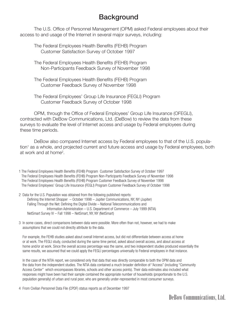# **Background**

 The U.S. Office of Personnel Management (OPM) asked Federal employees about their access to and usage of the Internet in several major surveys, including:

 The Federal Employees Health Benefits (FEHB) Program Customer Satisfaction Survey of October 1997

 The Federal Employees Health Benefits (FEHB) Program Non-Participants Feedback Survey of November 1998

 The Federal Employees Health Benefits (FEHB) Program Customer Feedback Survey of November 1998

 The Federal Employees' Group Life Insurance (FEGLI) Program Customer Feedback Survey of October 1998

 OPM, through the Office of Federal Employees' Group Life Insurance (OFEGLI), contracted with DeBow Communications, Ltd. (DeBow) to review the data from these surveys to evaluate the level of Internet access and usage by Federal employees during these time periods.

 DeBow also compared Internet access by Federal employees to that of the U.S. population<sup>1</sup> as a whole, and projected current and future access and usage by Federal employees, both at work and at home<sup>2</sup>.

1 The Federal Employees Health Benefits (FEHB) Program Customer Satisfaction Survey of October 1997 The Federal Employees Health Benefits (FEHB) Program Non-Participants Feedback Survey of November 1998 The Federal Employees Health Benefits (FEHB) Program Customer Feedback Survey of November 1998 The Federal Employees' Group Life Insurance (FEGLI) Program Customer Feedback Survey of October 1998

2 Data for the U.S. Population was obtained from the following published reports: Defining the Internet Shopper – October 1998 – Jupiter Communications, NY, NY (Jupiter) Falling Through the Net: Defining the Digital Divide – National Telecommunications and Information Administration – U.S. Department of Commerce – July 1999 (NTIA) NetSmart Survey IV – Fall 1998 – NetSmart, NY, NY (NetSmart)

3 In some cases, direct comparisons between data were possible. More often than not, however, we had to make assumptions that we could not directly attribute to the data.

 For example, the FEHB studies asked about overall Internet access, but did not differentiate between access at home or at work. The FEGLI study, conducted during the same time period, asked about overall access, and about access at home and/or at work. Since the overall access percentage was the same, and two independent studies produced essentially the same results, we assumed that we could apply the FEGLI percentages universally to Federal employees in that instance.

 In the case of the NTIA report, we considered only that data that was directly comparable to both the OPM data and the data from the independent studies. The NTIA data contained a much broader definition of "Access" (including "Community Access Center" which encompasses libraries, schools and other access points). Their data estimates also included what responses might have been had their sample contained the appropriate number of households (proportionate to the U.S. population generally) of urban and rural poor, who are generally under-represented in most consumer surveys.

4 From Civilian Personnel Data File (CPDF) status reports as of December 1997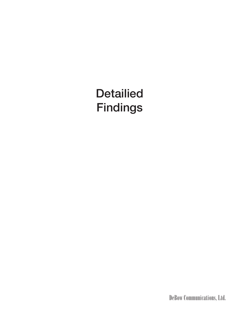# **Detailied** Findings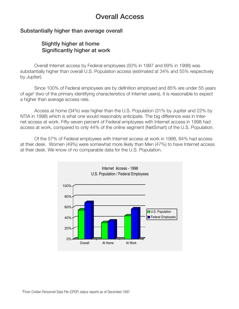# Overall Access

## Substantially higher than average overall

## Slightly higher at home Significantly higher at work

 Overall Internet access by Federal employees (50% in 1997 and 69% in 1998) was substantially higher than overall U.S. Population access (estimated at 34% and 55% respectively by Jupiter).

 Since 100% of Federal employees are by definition employed and 85% are under 55 years of age4 (two of the primary identifying characteristics of Internet users), it is reasonable to expect a higher than average access rate.

 Access at home (34%) was higher than the U.S. Population (31% by Jupiter and 22% by NTIA in 1998) which is what one would reasonably anticipate. The big difference was in Internet access at work. Fifty-seven percent of Federal employees with Internet access in 1998 had access at work, compared to only 44% of the online segment (NetSmart) of the U.S. Population.

 Of the 57% of Federal employees with Internet access at work in 1998, 84% had access at their desk. Women (49%) were somewhat more likely than Men (47%) to have Internet access at their desk. We know of no comparable data for the U.S. Population.

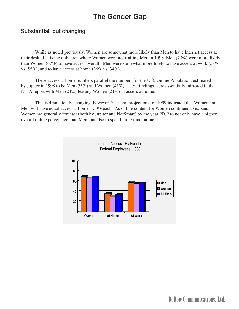# The Gender Gap

### Substantial, but changing

While as noted previously, Women are somewhat more likely than Men to have Internet access at their desk, that is the only area where Women were not trailing Men in 1998. Men (70%) were more likely than Women (67%) to have access overall. Men were somewhat more likely to have access at work (58% vs. 56%), and to have access at home (36% vs. 34%).

These access at home numbers parallel the numbers for the U.S. Online Population, estimated by Jupiter in 1998 to be Men (55%) and Women (45%). These findings were essentially mirrored in the NTIA report with Men (24%) leading Women (21%) in access at home.

This is dramatically changing, however. Year-end projections for 1999 indicated that Women and Men will have equal access at home – 50% each. As online content for Women continues to expand, Women are generally forecast (both by Jupiter and NetSmart) by the year 2002 to not only have a higher overall online percentage than Men, but also to spend more time online.

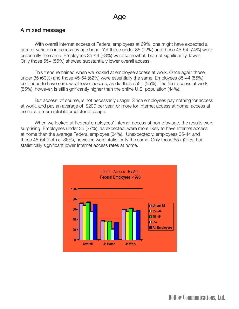#### A mixed message

 With overall Internet access of Federal employees at 69%, one might have expected a greater variation in access by age band. Yet those under 35 (72%) and those 45-54 (74%) were essentially the same. Employees 35-44 (68%) were somewhat, but not significantly, lower. Only those 55+ (55%) showed substantially lower overall access.

 This trend remained when we looked at employee access at work. Once again those under 35 (60%) and those 45-54 (62%) were essentially the same. Employees 35-44 (55%) continued to have somewhat lower access, as did those 55+ (55%). The 55+ access at work (55%), however, is still significantly higher than the online U.S. population (44%).

 But access, of course, is not necessarily usage. Since employees pay nothing for access at work, and pay an average of \$200 per year, or more for Internet access at home, access at home is a more reliable predictor of usage.

 When we looked at Federal employees' Internet access at home by age, the results were surprising. Employees under 35 (37%), as expected, were more likely to have Internet access at home than the average Federal employee (34%). Unexpectedly, employees 35-44 and those 45-54 (both at 36%), however, were statistically the same. Only those 55+ (21%) had statistically significant lower Internet access rates at home.

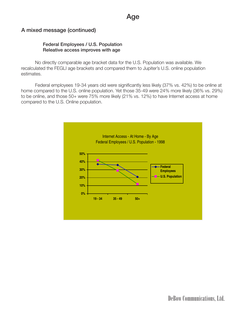## A mixed message (continued)

#### Federal Employees / U.S. Population Releative access improves with age

 No directly comparable age bracket data for the U.S. Population was available. We recalculated the FEGLI age brackets and compared them to Jupiter's U.S. online population estimates.

 Federal employees 19-34 years old were significantly less likely (37% vs. 42%) to be online at home compared to the U.S. online population. Yet those 35-49 were 24% more likely (36% vs. 29%) to be online, and those 50+ were 75% more likely (21% vs. 12%) to have Internet access at home compared to the U.S. Online population.

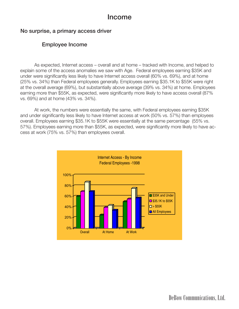#### No surprise, a primary access driver

## Employee Income

 As expected, Internet access – overall and at home – tracked with Income, and helped to explain some of the access anomalies we saw with Age. Federal employees earning \$35K and under were significantly less likely to have Internet access overall (60% vs. 69%), and at home (25% vs. 34%) than Federal employees generally. Employees earning \$35.1K to \$55K were right at the overall average (69%), but substantially above average (39% vs. 34%) at home. Employees earning more than \$55K, as expected, were significantly more likely to have access overall (87% vs. 69%) and at home (43% vs. 34%).

 At work, the numbers were essentially the same, with Federal employees earning \$35K and under significantly less likely to have Internet access at work (50% vs. 57%) than employees overall. Employees earning \$35.1K to \$55K were essentially at the same percentage (55% vs. 57%). Employees earning more than \$55K, as expected, were significantly more likely to have access at work (75% vs. 57%) than employees overall.

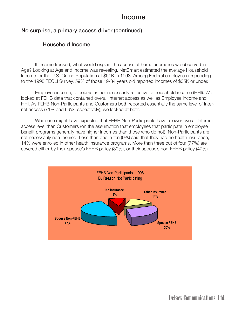## No surprise, a primary access driver (continued)

## Household Income

 If Income tracked, what would explain the access at home anomalies we observed in Age? Looking at Age and Income was revealing. NetSmart estimated the average Household Income for the U.S. Online Population at \$61K in 1998. Among Federal employees responding to the 1998 FEGLI Survey, 59% of those 19-34 years old reported incomes of \$35K or under.

 Employee income, of course, is not necessarily reflective of household income (HHI). We looked at FEHB data that contained overall Internet access as well as Employee Income and HHI. As FEHB Non-Participants and Customers both reported essentially the same level of Internet access (71% and 69% respectively), we looked at both.

 While one might have expected that FEHB Non-Participants have a lower overall Internet access level than Customers (on the assumption that employees that participate in employee benefit programs generally have higher incomes than those who do not), Non-Participants are not necessarily non-insured. Less than one in ten (9%) said that they had no health insurance; 14% were enrolled in other health insurance programs. More than three out of four (77%) are covered either by their spouse's FEHB policy (30%), or their spouse's non-FEHB policy (47%).

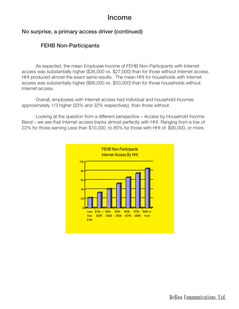## No surprise, a primary access driver (continued)

## FEHB Non-Participants

 As expected, the mean Employee Income of FEHB Non-Participants with Internet access was substantially higher (\$36,000 vs. \$27,000) than for those without Internet access. HHI produced almost the exact same results. The mean HHI for households with Internet access was substantially higher (\$66,000 vs. \$50,000) than for those households without Internet access.

 Overall, employees with Internet access had individual and household incomes approximately 1/3 higher (33% and 32% respectively), than those without.

 Looking at the question from a different perspective – Access by Household Income Band – we see that Internet access tracks almost perfectly with HHI. Ranging from a low of 22% for those earning Less than \$10,000, to 85% for those with HHI of \$90,000, or more.

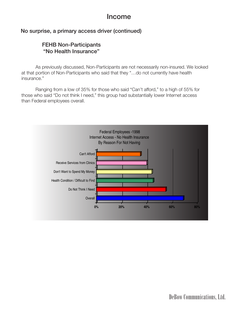## No surprise, a primary access driver (continued)

## FEHB Non-Participants "No Health Insurance"

 As previously discussed, Non-Participants are not necessarily non-insured. We looked at that portion of Non-Participants who said that they "…do not currently have health insurance."

 Ranging from a low of 35% for those who said "Can't afford," to a high of 55% for those who said "Do not think I need," this group had substantially lower Internet access than Federal employees overall.

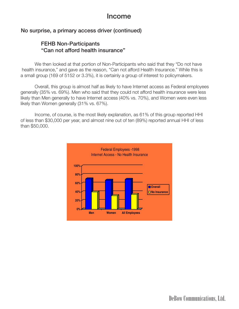## No surprise, a primary access driver (continued)

## FEHB Non-Participants "Can not afford health insurance"

 We then looked at that portion of Non-Participants who said that they "Do not have health insurance," and gave as the reason, "Can not afford Health Insurance." While this is a small group (169 of 5152 or 3.3%), it is certainly a group of interest to policymakers.

 Overall, this group is almost half as likely to have Internet access as Federal employees generally (35% vs. 69%). Men who said that they could not afford health insurance were less likely than Men generally to have Internet access (40% vs. 70%), and Women were even less likely than Women generally (31% vs. 67%).

 Income, of course, is the most likely explanation, as 61% of this group reported HHI of less than \$30,000 per year, and almost nine out of ten (89%) reported annual HHI of less than \$50,000.

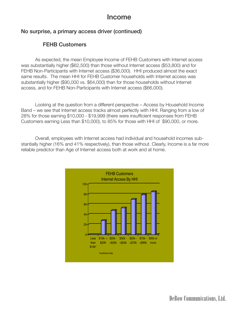## No surprise, a primary access driver (continued)

## FEHB Customers

 As expected, the mean Employee Income of FEHB Customers with Internet access was substantially higher (\$62,500) than those without Internet access (\$53,800) and for FEHB Non-Participants with Internet access (\$36,000). HHI produced almost the exact same results. The mean HHI for FEHB Customer households with Internet access was substantially higher (\$90,000 vs. \$64,000) than for those households without Internet access, and for FEHB Non-Participants with Internet access (\$66,000).

 Looking at the question from a different perspective – Access by Household Income Band – we see that Internet access tracks almost perfectly with HHI. Ranging from a low of 28% for those earning \$10,000 - \$19,999 (there were insufficient responses from FEHB Customers earning Less than \$10,000), to 85% for those with HHI of \$90,000, or more.

 Overall, employees with Internet access had individual and household incomes substantially higher (16% and 41% respectively), than those without. Clearly, Income is a far more reliable predictor than Age of Internet access both at work and at home.

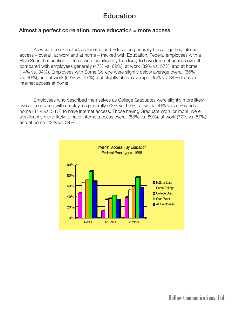# **Education**

#### Almost a perfect correlation, more education = more access

 As would be expected, as Income and Education generally track together, Internet access – overall, at work and at home – tracked with Education. Federal employees with a High School education, or less, were significantly less likely to have Internet access overall compared with employees generally (47% vs. 69%), at work (39% vs. 57%) and at home (14% vs. 34%). Employees with Some College were slightly below average overall (66% vs. 69%), and at work (53% vs. 57%), but slightly above average (35% vs. 34%) to have Internet access at home.

 Employees who described themselves as College Graduates were slightly more likely overall compared with employees generally (72% vs. 69%), at work (59% vs. 57%) and at home (37% vs. 34%) to have Internet access. Those having Graduate Work or more, were significantly more likely to have Internet access overall (88% vs. 69%), at work (77% vs. 57%) and at home (42% vs. 34%).

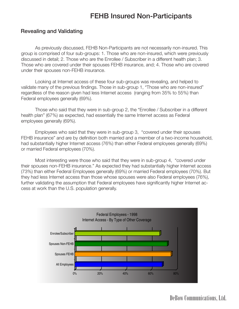# FEHB Insured Non-Participants

### Revealing and Validating

 As previously discussed, FEHB Non-Participants are not necessarily non-insured. This group is comprised of four sub-groups: 1. Those who are non-insured, which were previously discussed in detail; 2. Those who are the Enrollee / Subscriber in a different health plan; 3. Those who are covered under their spouses FEHB insurance, and; 4. Those who are covered under their spouses non-FEHB insurance.

 Looking at Internet access of these four sub-groups was revealing, and helped to validate many of the previous findings. Those in sub-group 1, "Those who are non-insured" regardless of the reason given had less Internet access (ranging from 35% to 55%) than Federal employees generally (69%).

 Those who said that they were in sub-group 2, the "Enrollee / Subscriber in a different health plan" (67%) as expected, had essentially the same Internet access as Federal employees generally (69%).

 Employees who said that they were in sub-group 3, "covered under their spouses FEHB insurance" and are by definition both married and a member of a two-income household, had substantially higher Internet access (76%) than either Federal employees generally (69%) or married Federal employees (70%).

 Most interesting were those who said that they were in sub-group 4, "covered under their spouses non-FEHB insurance." As expected they had substantially higher Internet access (73%) than either Federal Employees generally (69%) or married Federal employees (70%). But they had less Internet access than those whose spouses were also Federal employees (76%), further validating the assumption that Federal employees have significantly higher Internet access at work than the U.S. population generally.

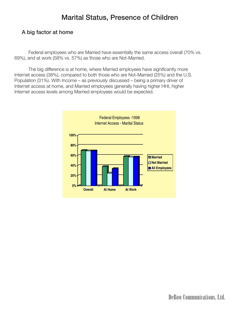# Marital Status, Presence of Children

## A big factor at home

 Federal employees who are Married have essentially the same access overall (70% vs. 69%), and at work (58% vs. 57%) as those who are Not-Married.

 The big difference is at home, where Married employees have significantly more Internet access (38%), compared to both those who are Not-Married (25%) and the U.S. Population (31%). With Income – as previously discussed – being a primary driver of Internet access at home, and Married employees generally having higher HHI, higher Internet access levels among Married employees would be expected.

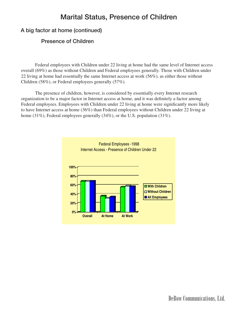## Marital Status, Presence of Children

## A big factor at home (continued)

#### Presence of Children

Federal employees with Children under 22 living at home had the same level of Internet access overall (69%) as those without Children and Federal employees generally. Those with Children under 22 living at home had essentially the same Internet access at work (56%), as either those without Children (58%), or Federal employees generally (57%).

The presence of children, however, is considered by essentially every Internet research organization to be a major factor in Internet access at home, and it was definitely a factor among Federal employees. Employees with Children under 22 living at home were significantly more likely to have Internet access at home (36%) than Federal employees without Children under 22 living at home (31%), Federal employees generally (34%), or the U.S. population (31%).

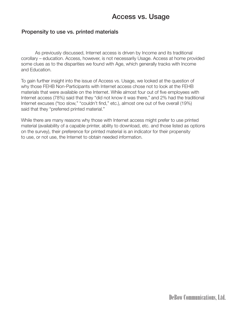### Propensity to use vs. printed materials

 As previously discussed, Internet access is driven by Income and its traditional corollary – education. Access, however, is not necessarily Usage. Access at home provided some clues as to the disparities we found with Age, which generally tracks with Income and Education.

To gain further insight into the issue of Access vs. Usage, we looked at the question of why those FEHB Non-Participants with Internet access chose not to look at the FEHB materials that were available on the Internet. While almost four out of five employees with Internet access (78%) said that they "did not know it was there," and 2% had the traditional Internet excuses ("too slow," "couldn't find," etc.), almost one out of five overall (19%) said that they "preferred printed material."

While there are many reasons why those with Internet access might prefer to use printed material (availability of a capable printer, ability to download, etc. and those listed as options on the survey), their preference for printed material is an indicator for their propensity to use, or not use, the Internet to obtain needed information.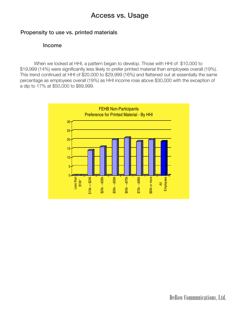#### Propensity to use vs. printed materials

#### Income

 When we looked at HHI, a pattern began to develop. Those with HHI of \$10,000 to \$19,999 (14%) were significantly less likely to prefer printed material than employees overall (19%). This trend continued at HHI of \$20,000 to \$29,999 (16%) and flattened out at essentially the same percentage as employees overall (19%) as HHI income rose above \$30,000 with the exception of a dip to 17% at \$50,000 to \$69,999.

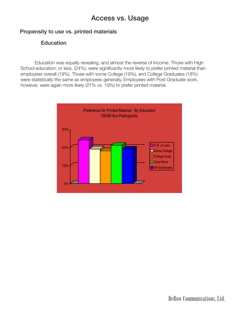## Propensity to use vs. printed materials

## **Education**

 Education was equally revealing, and almost the reverse of Income. Those with High School education, or less, (24%), were significantly more likely to prefer printed material than employees overall (19%). Those with some College (19%), and College Graduates (18%) were statistically the same as employees generally. Employees with Post Graduate work, however, were again more likely (21% vs. 19%) to prefer printed material.

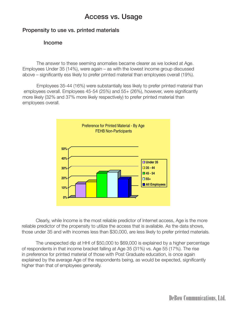### Propensity to use vs. printed materials

#### Income

 The answer to these seeming anomalies became clearer as we looked at Age. Employees Under 35 (14%), were again – as with the lowest income group discussed above – significantly ess likely to prefer printed material than employees overall (19%).

 Employees 35-44 (16%) were substantially less likely to prefer printed material than employees overall. Employees 45-54 (25%) and 55+ (26%), however, were significantly more likely (32% and 37% more likely respectively) to prefer printed material than employees overall.



 Clearly, while Income is the most reliable predictor of Internet access, Age is the more reliable predictor of the propensity to utilize the access that is available. As the data shows, those under 35 and with incomes less than \$30,000, are less likely to prefer printed materials.

 The unexpected dip at HHI of \$50,000 to \$69,000 is explained by a higher percentage of respondents in that income bracket falling at Age 35 (31%) vs. Age 55 (17%). The rise in preference for printed material of those with Post Graduate education, is once again explained by the average Age of the respondents being, as would be expected, significantly higher than that of employees generally.